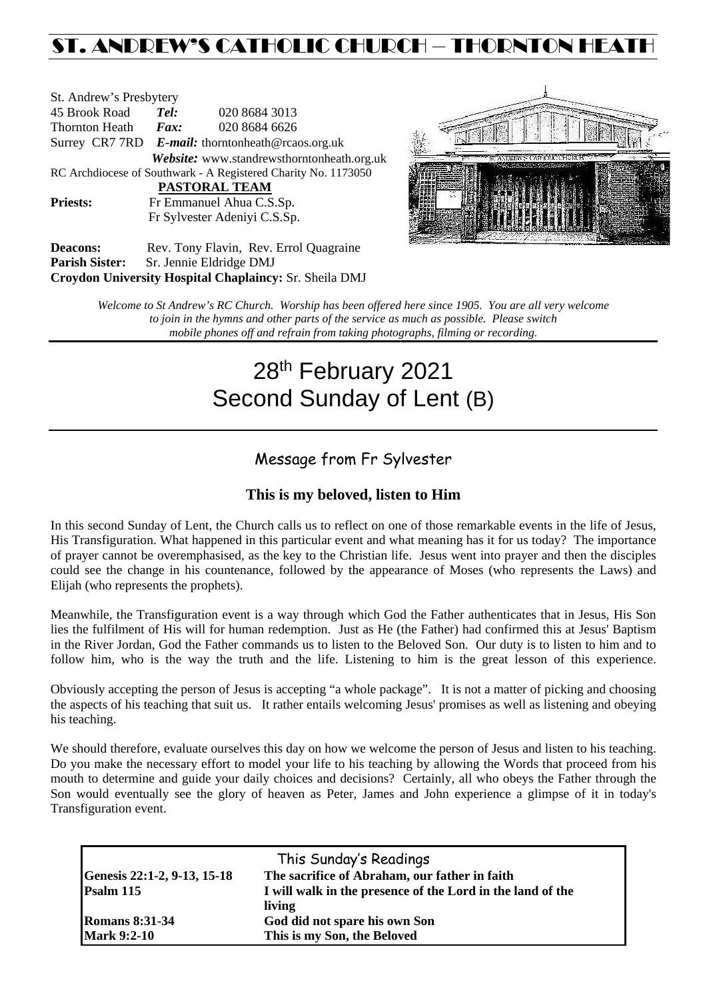## ST. ANDREW'S CATHOLIC CHURCH – THORNTON HEAT

| St. Andrew's Presbytery                                        |                                                   |                                            |  |  |  |  |
|----------------------------------------------------------------|---------------------------------------------------|--------------------------------------------|--|--|--|--|
| 45 Brook Road                                                  | Tel:                                              | 020 8684 3013                              |  |  |  |  |
| Thornton Heath                                                 | $\boldsymbol{F}$ <i>ax</i> :                      | 020 8684 6626                              |  |  |  |  |
|                                                                | Surrey CR7 7RD E-mail: thorntonheath@rcaos.org.uk |                                            |  |  |  |  |
|                                                                |                                                   | Website: www.standrewsthorntonheath.org.uk |  |  |  |  |
| RC Archdiocese of Southwark - A Registered Charity No. 1173050 |                                                   |                                            |  |  |  |  |
| PASTORAL TEAM                                                  |                                                   |                                            |  |  |  |  |
| <b>Priests:</b>                                                | Fr Emmanuel Ahua C.S.Sp.                          |                                            |  |  |  |  |
| Fr Sylvester Adeniyi C.S.Sp.                                   |                                                   |                                            |  |  |  |  |
| Deacons:                                                       |                                                   | Rev. Tony Flavin. Rev. Errol Quagraine     |  |  |  |  |



Deacons: Rev. Tony Flavin, Rev. Errol Quagraine **Parish Sister:** Sr. Jennie Eldridge DMJ **Croydon University Hospital Chaplaincy:** Sr. Sheila DMJ

> *Welcome to St Andrew's RC Church. Worship has been offered here since 1905. You are all very welcome to join in the hymns and other parts of the service as much as possible. Please switch mobile phones off and refrain from taking photographs, filming or recording.*

# 28<sup>th</sup> February 2021 Second Sunday of Lent (B)

## Message from Fr Sylvester

## **This is my beloved, listen to Him**

In this second Sunday of Lent, the Church calls us to reflect on one of those remarkable events in the life of Jesus, His Transfiguration. What happened in this particular event and what meaning has it for us today? The importance of prayer cannot be overemphasised, as the key to the Christian life. Jesus went into prayer and then the disciples could see the change in his countenance, followed by the appearance of Moses (who represents the Laws) and Elijah (who represents the prophets).

Meanwhile, the Transfiguration event is a way through which God the Father authenticates that in Jesus, His Son lies the fulfilment of His will for human redemption. Just as He (the Father) had confirmed this at Jesus' Baptism in the River Jordan, God the Father commands us to listen to the Beloved Son. Our duty is to listen to him and to follow him, who is the way the truth and the life. Listening to him is the great lesson of this experience.

Obviously accepting the person of Jesus is accepting "a whole package". It is not a matter of picking and choosing the aspects of his teaching that suit us. It rather entails welcoming Jesus' promises as well as listening and obeying his teaching.

We should therefore, evaluate ourselves this day on how we welcome the person of Jesus and listen to his teaching. Do you make the necessary effort to model your life to his teaching by allowing the Words that proceed from his mouth to determine and guide your daily choices and decisions? Certainly, all who obeys the Father through the Son would eventually see the glory of heaven as Peter, James and John experience a glimpse of it in today's Transfiguration event.

| This Sunday's Readings      |                                                            |  |  |  |
|-----------------------------|------------------------------------------------------------|--|--|--|
| Genesis 22:1-2, 9-13, 15-18 | The sacrifice of Abraham, our father in faith              |  |  |  |
| Psalm 115                   | I will walk in the presence of the Lord in the land of the |  |  |  |
|                             | living                                                     |  |  |  |
| <b>Romans 8:31-34</b>       | God did not spare his own Son                              |  |  |  |
| <b>Mark 9:2-10</b>          | This is my Son, the Beloved                                |  |  |  |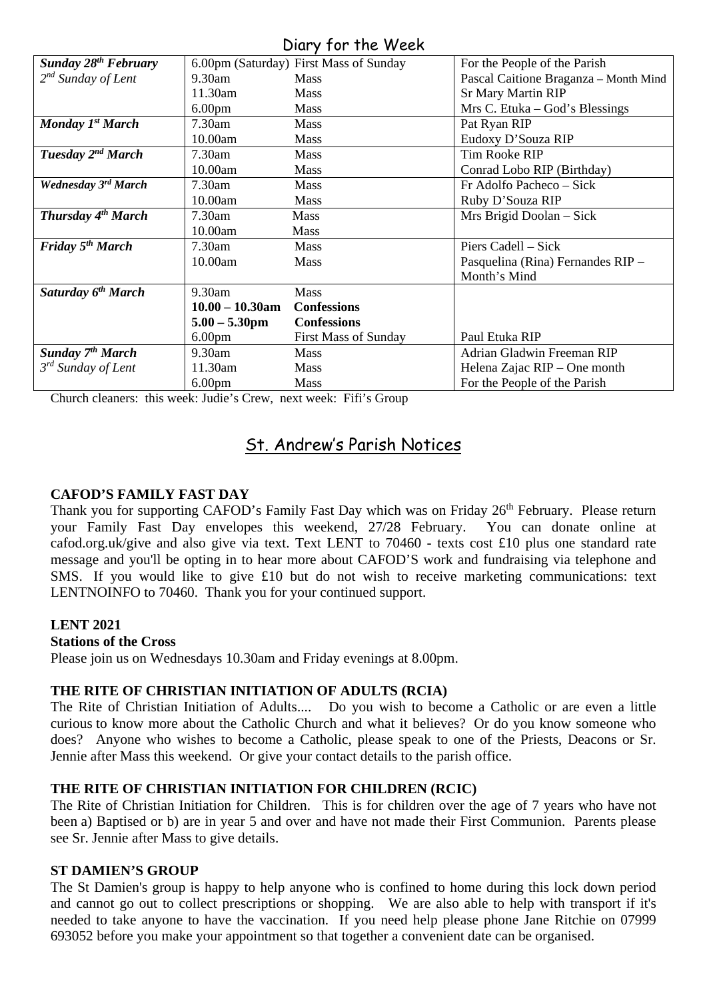## Diary for the Week

| 5.1                                |                    |                                        |                                       |  |  |
|------------------------------------|--------------------|----------------------------------------|---------------------------------------|--|--|
| Sunday 28 <sup>th</sup> February   |                    | 6.00pm (Saturday) First Mass of Sunday | For the People of the Parish          |  |  |
| $2^{nd}$ Sunday of Lent            | $9.30$ am          | <b>Mass</b>                            | Pascal Caitione Braganza - Month Mind |  |  |
|                                    | 11.30am            | <b>Mass</b>                            | <b>Sr Mary Martin RIP</b>             |  |  |
|                                    | 6.00 <sub>pm</sub> | <b>Mass</b>                            | Mrs C. Etuka – God's Blessings        |  |  |
| Monday 1 <sup>st</sup> March       | $7.30$ am          | <b>Mass</b>                            | Pat Ryan RIP                          |  |  |
|                                    | 10.00am            | <b>Mass</b>                            | Eudoxy D'Souza RIP                    |  |  |
| Tuesday 2 <sup>nd</sup> March      | 7.30am             | <b>Mass</b>                            | Tim Rooke RIP                         |  |  |
|                                    | 10.00am            | <b>Mass</b>                            | Conrad Lobo RIP (Birthday)            |  |  |
| Wednesday 3rd March                | 7.30am             | <b>Mass</b>                            | Fr Adolfo Pacheco – Sick              |  |  |
|                                    | 10.00am            | <b>Mass</b>                            | Ruby D'Souza RIP                      |  |  |
| Thursday 4 <sup>th</sup> March     | $7.30$ am          | <b>Mass</b>                            | Mrs Brigid Doolan – Sick              |  |  |
|                                    | 10.00am            | <b>Mass</b>                            |                                       |  |  |
| <b>Friday 5<sup>th</sup> March</b> | $7.30$ am          | <b>Mass</b>                            | Piers Cadell – Sick                   |  |  |
|                                    | 10.00am            | <b>Mass</b>                            | Pasquelina (Rina) Fernandes RIP -     |  |  |
|                                    |                    |                                        | Month's Mind                          |  |  |
| Saturday 6 <sup>th</sup> March     | 9.30am             | <b>Mass</b>                            |                                       |  |  |
|                                    | $10.00 - 10.30$ am | <b>Confessions</b>                     |                                       |  |  |
|                                    | $5.00 - 5.30$ pm   | <b>Confessions</b>                     |                                       |  |  |
|                                    | 6.00 <sub>pm</sub> | <b>First Mass of Sunday</b>            | Paul Etuka RIP                        |  |  |
| Sunday 7 <sup>th</sup> March       | $9.30$ am          | <b>Mass</b>                            | Adrian Gladwin Freeman RIP            |  |  |
| 3 <sup>rd</sup> Sunday of Lent     | 11.30am            | <b>Mass</b>                            | Helena Zajac RIP - One month          |  |  |
|                                    | 6.00 <sub>pm</sub> | Mass                                   | For the People of the Parish          |  |  |

Church cleaners: this week: Judie's Crew, next week: Fifi's Group

## St. Andrew's Parish Notices

## **CAFOD'S FAMILY FAST DAY**

Thank you for supporting CAFOD's Family Fast Day which was on Friday  $26<sup>th</sup>$  February. Please return your Family Fast Day envelopes this weekend,  $27/28$  February. You can donate online at your Family Fast Day envelopes this weekend,  $27/28$  February. cafod.org.uk/give and also give via text. Text LENT to 70460 - texts cost £10 plus one standard rate message and you'll be opting in to hear more about CAFOD'S work and fundraising via telephone and SMS. If you would like to give £10 but do not wish to receive marketing communications: text LENTNOINFO to 70460. Thank you for your continued support.

#### **LENT 2021**

#### **Stations of the Cross**

Please join us on Wednesdays 10.30am and Friday evenings at 8.00pm.

#### **THE RITE OF CHRISTIAN INITIATION OF ADULTS (RCIA)**

The Rite of Christian Initiation of Adults.... Do you wish to become a Catholic or are even a little curious to know more about the Catholic Church and what it believes? Or do you know someone who does? Anyone who wishes to become a Catholic, please speak to one of the Priests, Deacons or Sr. Jennie after Mass this weekend. Or give your contact details to the parish office.

#### **THE RITE OF CHRISTIAN INITIATION FOR CHILDREN (RCIC)**

The Rite of Christian Initiation for Children. This is for children over the age of 7 years who have not been a) Baptised or b) are in year 5 and over and have not made their First Communion. Parents please see Sr. Jennie after Mass to give details.

#### **ST DAMIEN'S GROUP**

The St Damien's group is happy to help anyone who is confined to home during this lock down period and cannot go out to collect prescriptions or shopping. We are also able to help with transport if it's needed to take anyone to have the vaccination. If you need help please phone Jane Ritchie on 07999 693052 before you make your appointment so that together a convenient date can be organised.